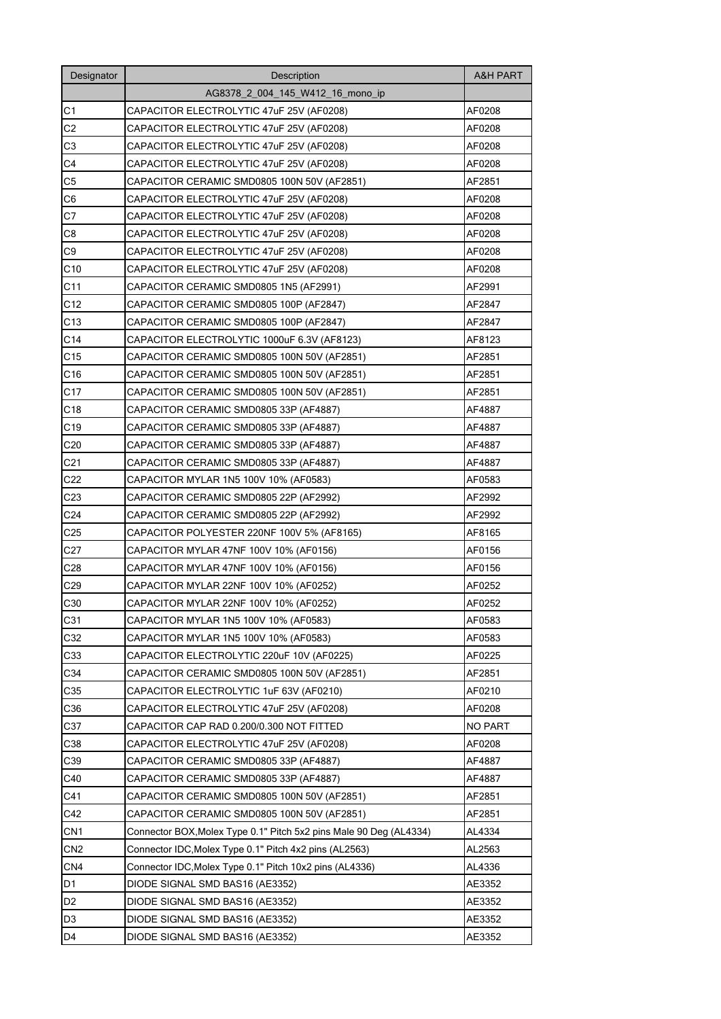| Designator      | Description                                                        |                |  |  |  |  |  |  |
|-----------------|--------------------------------------------------------------------|----------------|--|--|--|--|--|--|
|                 | AG8378 2 004 145 W412 16 mono ip                                   |                |  |  |  |  |  |  |
| C1              | CAPACITOR ELECTROLYTIC 47uF 25V (AF0208)                           | AF0208         |  |  |  |  |  |  |
| C2              | CAPACITOR ELECTROLYTIC 47uF 25V (AF0208)                           | AF0208         |  |  |  |  |  |  |
| C3              | CAPACITOR ELECTROLYTIC 47uF 25V (AF0208)                           | AF0208         |  |  |  |  |  |  |
| C <sub>4</sub>  | CAPACITOR ELECTROLYTIC 47uF 25V (AF0208)                           | AF0208         |  |  |  |  |  |  |
| C <sub>5</sub>  | CAPACITOR CERAMIC SMD0805 100N 50V (AF2851)                        | AF2851         |  |  |  |  |  |  |
| C <sub>6</sub>  | CAPACITOR ELECTROLYTIC 47uF 25V (AF0208)                           | AF0208         |  |  |  |  |  |  |
| C7              | CAPACITOR ELECTROLYTIC 47uF 25V (AF0208)                           | AF0208         |  |  |  |  |  |  |
| C <sub>8</sub>  | CAPACITOR ELECTROLYTIC 47uF 25V (AF0208)                           | AF0208         |  |  |  |  |  |  |
| C9              | CAPACITOR ELECTROLYTIC 47uF 25V (AF0208)                           | AF0208         |  |  |  |  |  |  |
| C10             | CAPACITOR ELECTROLYTIC 47uF 25V (AF0208)                           | AF0208         |  |  |  |  |  |  |
| C <sub>11</sub> | CAPACITOR CERAMIC SMD0805 1N5 (AF2991)                             | AF2991         |  |  |  |  |  |  |
| C <sub>12</sub> | CAPACITOR CERAMIC SMD0805 100P (AF2847)                            | AF2847         |  |  |  |  |  |  |
| C <sub>13</sub> | CAPACITOR CERAMIC SMD0805 100P (AF2847)                            | AF2847         |  |  |  |  |  |  |
| C <sub>14</sub> | CAPACITOR ELECTROLYTIC 1000uF 6.3V (AF8123)                        | AF8123         |  |  |  |  |  |  |
| C <sub>15</sub> | CAPACITOR CERAMIC SMD0805 100N 50V (AF2851)                        | AF2851         |  |  |  |  |  |  |
| C <sub>16</sub> | CAPACITOR CERAMIC SMD0805 100N 50V (AF2851)                        | AF2851         |  |  |  |  |  |  |
| C17             | CAPACITOR CERAMIC SMD0805 100N 50V (AF2851)                        | AF2851         |  |  |  |  |  |  |
| C <sub>18</sub> | CAPACITOR CERAMIC SMD0805 33P (AF4887)                             | AF4887         |  |  |  |  |  |  |
| C <sub>19</sub> | CAPACITOR CERAMIC SMD0805 33P (AF4887)                             | AF4887         |  |  |  |  |  |  |
| C <sub>20</sub> | CAPACITOR CERAMIC SMD0805 33P (AF4887)                             | AF4887         |  |  |  |  |  |  |
| C <sub>21</sub> | CAPACITOR CERAMIC SMD0805 33P (AF4887)                             | AF4887         |  |  |  |  |  |  |
| C <sub>22</sub> | CAPACITOR MYLAR 1N5 100V 10% (AF0583)                              | AF0583         |  |  |  |  |  |  |
| C <sub>23</sub> | CAPACITOR CERAMIC SMD0805 22P (AF2992)                             | AF2992         |  |  |  |  |  |  |
| C <sub>24</sub> | CAPACITOR CERAMIC SMD0805 22P (AF2992)                             | AF2992         |  |  |  |  |  |  |
| C <sub>25</sub> | CAPACITOR POLYESTER 220NF 100V 5% (AF8165)                         | AF8165         |  |  |  |  |  |  |
| C27             | CAPACITOR MYLAR 47NF 100V 10% (AF0156)                             | AF0156         |  |  |  |  |  |  |
| C28             | CAPACITOR MYLAR 47NF 100V 10% (AF0156)                             | AF0156         |  |  |  |  |  |  |
| C <sub>29</sub> | CAPACITOR MYLAR 22NF 100V 10% (AF0252)                             | AF0252         |  |  |  |  |  |  |
| C30             | CAPACITOR MYLAR 22NF 100V 10% (AF0252)                             | AF0252         |  |  |  |  |  |  |
| C31             | CAPACITOR MYLAR 1N5 100V 10% (AF0583)                              | AF0583         |  |  |  |  |  |  |
| C32             | CAPACITOR MYLAR 1N5 100V 10% (AF0583)                              | AF0583         |  |  |  |  |  |  |
| C33             | CAPACITOR ELECTROLYTIC 220uF 10V (AF0225)                          | AF0225         |  |  |  |  |  |  |
| C34             | CAPACITOR CERAMIC SMD0805 100N 50V (AF2851)                        | AF2851         |  |  |  |  |  |  |
| C35             | CAPACITOR ELECTROLYTIC 1uF 63V (AF0210)                            | AF0210         |  |  |  |  |  |  |
| C36             | CAPACITOR ELECTROLYTIC 47uF 25V (AF0208)                           | AF0208         |  |  |  |  |  |  |
| C37             | CAPACITOR CAP RAD 0.200/0.300 NOT FITTED                           | <b>NO PART</b> |  |  |  |  |  |  |
| C38             | CAPACITOR ELECTROLYTIC 47uF 25V (AF0208)                           | AF0208         |  |  |  |  |  |  |
| C39             | CAPACITOR CERAMIC SMD0805 33P (AF4887)                             | AF4887         |  |  |  |  |  |  |
| C40             | CAPACITOR CERAMIC SMD0805 33P (AF4887)                             | AF4887         |  |  |  |  |  |  |
| C41             | CAPACITOR CERAMIC SMD0805 100N 50V (AF2851)                        | AF2851         |  |  |  |  |  |  |
| C42             | CAPACITOR CERAMIC SMD0805 100N 50V (AF2851)                        | AF2851         |  |  |  |  |  |  |
| CN <sub>1</sub> | Connector BOX, Molex Type 0.1" Pitch 5x2 pins Male 90 Deg (AL4334) | AL4334         |  |  |  |  |  |  |
| CN <sub>2</sub> | Connector IDC, Molex Type 0.1" Pitch 4x2 pins (AL2563)             | AL2563         |  |  |  |  |  |  |
| CN <sub>4</sub> | Connector IDC, Molex Type 0.1" Pitch 10x2 pins (AL4336)            | AL4336         |  |  |  |  |  |  |
| D1              | DIODE SIGNAL SMD BAS16 (AE3352)                                    | AE3352         |  |  |  |  |  |  |
| D <sub>2</sub>  | DIODE SIGNAL SMD BAS16 (AE3352)                                    | AE3352         |  |  |  |  |  |  |
| D3              | DIODE SIGNAL SMD BAS16 (AE3352)                                    | AE3352         |  |  |  |  |  |  |
| D <sub>4</sub>  | DIODE SIGNAL SMD BAS16 (AE3352)                                    | AE3352         |  |  |  |  |  |  |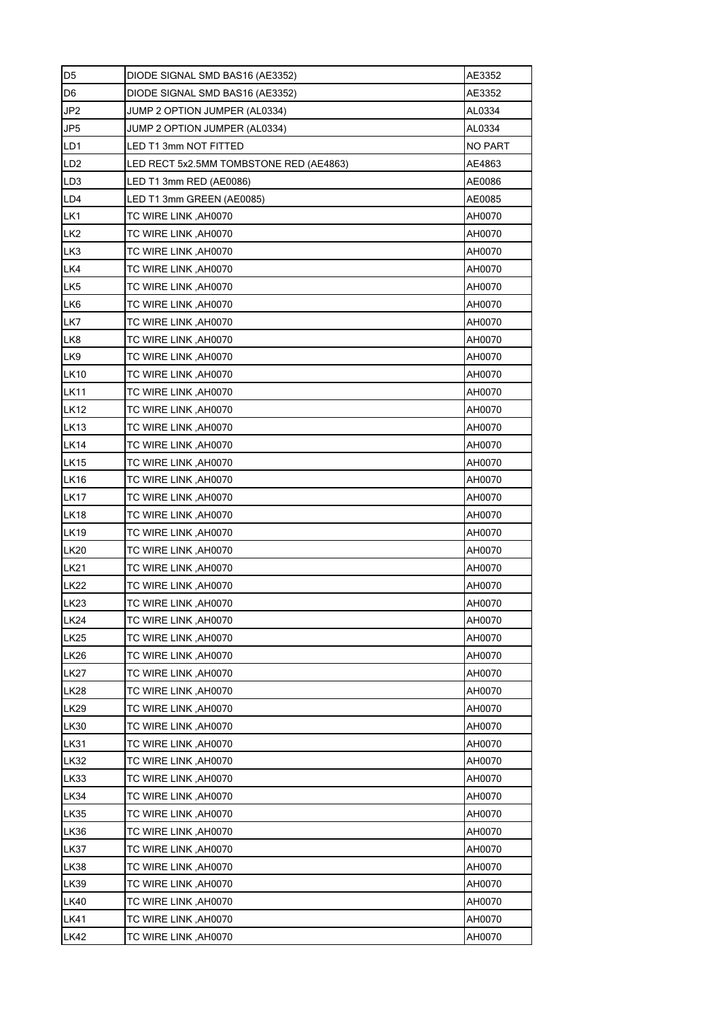| D <sub>5</sub>  | AE3352<br>DIODE SIGNAL SMD BAS16 (AE3352) |                |  |  |  |  |  |  |  |  |
|-----------------|-------------------------------------------|----------------|--|--|--|--|--|--|--|--|
| D <sub>6</sub>  | AE3352<br>DIODE SIGNAL SMD BAS16 (AE3352) |                |  |  |  |  |  |  |  |  |
| JP <sub>2</sub> | JUMP 2 OPTION JUMPER (AL0334)             | AL0334         |  |  |  |  |  |  |  |  |
| JP5             | JUMP 2 OPTION JUMPER (AL0334)             | AL0334         |  |  |  |  |  |  |  |  |
| LD1             | LED T1 3mm NOT FITTED                     | <b>NO PART</b> |  |  |  |  |  |  |  |  |
| LD <sub>2</sub> | LED RECT 5x2.5MM TOMBSTONE RED (AE4863)   | AE4863         |  |  |  |  |  |  |  |  |
| LD3             | LED T1 3mm RED (AE0086)                   | AE0086         |  |  |  |  |  |  |  |  |
| LD4             | LED T1 3mm GREEN (AE0085)                 | AE0085         |  |  |  |  |  |  |  |  |
| LK1             | TC WIRE LINK, AH0070                      | AH0070         |  |  |  |  |  |  |  |  |
| LK <sub>2</sub> | TC WIRE LINK, AH0070                      | AH0070         |  |  |  |  |  |  |  |  |
| LK3             | TC WIRE LINK, AH0070<br>AH0070            |                |  |  |  |  |  |  |  |  |
| LK4             | TC WIRE LINK, AH0070<br>AH0070            |                |  |  |  |  |  |  |  |  |
| LK5             | TC WIRE LINK, AH0070<br>AH0070            |                |  |  |  |  |  |  |  |  |
| LK6             | TC WIRE LINK, AH0070                      | AH0070         |  |  |  |  |  |  |  |  |
| LK7             | TC WIRE LINK, AH0070<br>AH0070            |                |  |  |  |  |  |  |  |  |
| LK8             | TC WIRE LINK, AH0070                      | AH0070         |  |  |  |  |  |  |  |  |
| LK9             | TC WIRE LINK, AH0070                      | AH0070         |  |  |  |  |  |  |  |  |
| <b>LK10</b>     | TC WIRE LINK, AH0070                      | AH0070         |  |  |  |  |  |  |  |  |
| <b>LK11</b>     | TC WIRE LINK, AH0070                      | AH0070         |  |  |  |  |  |  |  |  |
| LK12            | TC WIRE LINK , AH0070                     | AH0070         |  |  |  |  |  |  |  |  |
| <b>LK13</b>     | TC WIRE LINK, AH0070                      | AH0070         |  |  |  |  |  |  |  |  |
| <b>LK14</b>     | TC WIRE LINK, AH0070                      | AH0070         |  |  |  |  |  |  |  |  |
| <b>LK15</b>     | TC WIRE LINK, AH0070                      | AH0070         |  |  |  |  |  |  |  |  |
| <b>LK16</b>     | TC WIRE LINK, AH0070                      | AH0070         |  |  |  |  |  |  |  |  |
| <b>LK17</b>     | TC WIRE LINK, AH0070<br>AH0070            |                |  |  |  |  |  |  |  |  |
| <b>LK18</b>     | TC WIRE LINK, AH0070<br>AH0070            |                |  |  |  |  |  |  |  |  |
| <b>LK19</b>     | AH0070<br>TC WIRE LINK ,AH0070            |                |  |  |  |  |  |  |  |  |
| <b>LK20</b>     | AH0070<br>TC WIRE LINK, AH0070            |                |  |  |  |  |  |  |  |  |
| <b>LK21</b>     | TC WIRE LINK, AH0070<br>AH0070            |                |  |  |  |  |  |  |  |  |
| <b>LK22</b>     | TC WIRE LINK, AH0070                      | AH0070         |  |  |  |  |  |  |  |  |
| <b>LK23</b>     | TC WIRE LINK, AH0070                      | AH0070         |  |  |  |  |  |  |  |  |
| LK24            | TC WIRE LINK, AH0070                      | AH0070         |  |  |  |  |  |  |  |  |
| <b>LK25</b>     | TC WIRE LINK, AH0070                      | AH0070         |  |  |  |  |  |  |  |  |
| <b>LK26</b>     | TC WIRE LINK, AH0070                      | AH0070         |  |  |  |  |  |  |  |  |
| <b>LK27</b>     | TC WIRE LINK, AH0070                      | AH0070         |  |  |  |  |  |  |  |  |
| <b>LK28</b>     | TC WIRE LINK, AH0070                      | AH0070         |  |  |  |  |  |  |  |  |
| <b>LK29</b>     | TC WIRE LINK, AH0070                      | AH0070         |  |  |  |  |  |  |  |  |
| <b>LK30</b>     | TC WIRE LINK, AH0070                      | AH0070         |  |  |  |  |  |  |  |  |
| <b>LK31</b>     | TC WIRE LINK, AH0070                      | AH0070         |  |  |  |  |  |  |  |  |
| <b>LK32</b>     | TC WIRE LINK, AH0070                      | AH0070         |  |  |  |  |  |  |  |  |
| <b>LK33</b>     | TC WIRE LINK, AH0070                      | AH0070         |  |  |  |  |  |  |  |  |
| <b>LK34</b>     | TC WIRE LINK, AH0070                      | AH0070         |  |  |  |  |  |  |  |  |
| <b>LK35</b>     | TC WIRE LINK, AH0070                      | AH0070         |  |  |  |  |  |  |  |  |
| LK36            | TC WIRE LINK, AH0070                      | AH0070         |  |  |  |  |  |  |  |  |
| <b>LK37</b>     | TC WIRE LINK, AH0070                      | AH0070         |  |  |  |  |  |  |  |  |
| <b>LK38</b>     | TC WIRE LINK, AH0070                      | AH0070         |  |  |  |  |  |  |  |  |
| <b>LK39</b>     | TC WIRE LINK, AH0070                      | AH0070         |  |  |  |  |  |  |  |  |
| <b>LK40</b>     | TC WIRE LINK, AH0070                      | AH0070         |  |  |  |  |  |  |  |  |
| LK41            | TC WIRE LINK, AH0070                      | AH0070         |  |  |  |  |  |  |  |  |
| <b>LK42</b>     | TC WIRE LINK, AH0070                      | AH0070         |  |  |  |  |  |  |  |  |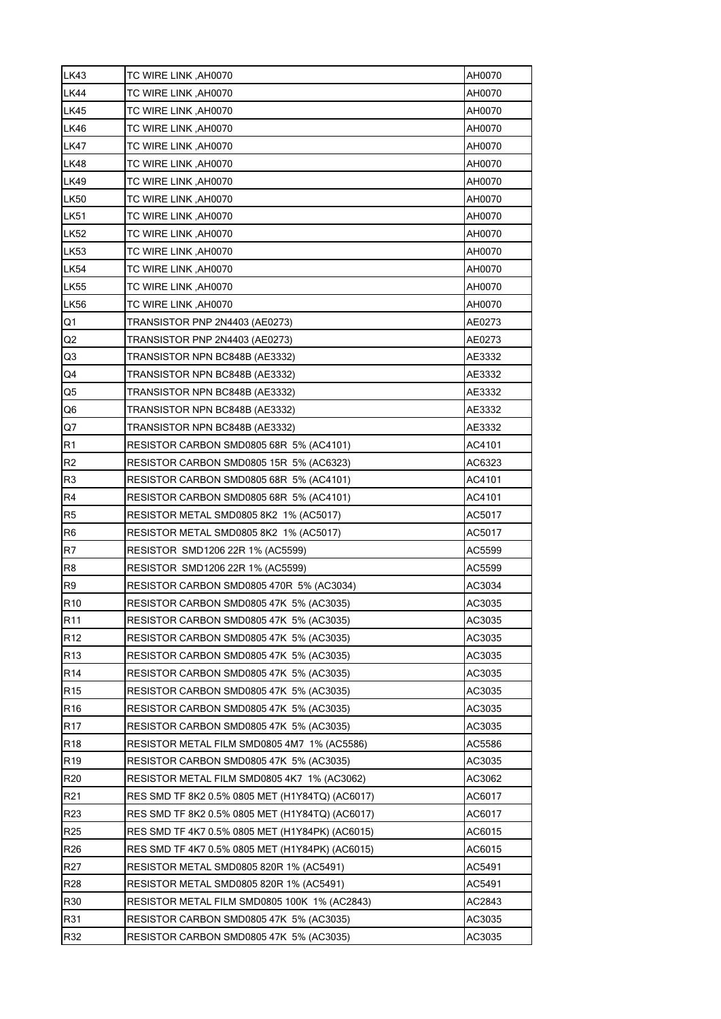| <b>LK43</b>     | TC WIRE LINK, AH0070                            | AH0070 |  |  |  |  |  |  |  |  |
|-----------------|-------------------------------------------------|--------|--|--|--|--|--|--|--|--|
| <b>LK44</b>     | TC WIRE LINK, AH0070                            | AH0070 |  |  |  |  |  |  |  |  |
| <b>LK45</b>     | TC WIRE LINK, AH0070                            | AH0070 |  |  |  |  |  |  |  |  |
| <b>LK46</b>     | TC WIRE LINK , AH0070                           | AH0070 |  |  |  |  |  |  |  |  |
| <b>LK47</b>     | TC WIRE LINK, AH0070                            | AH0070 |  |  |  |  |  |  |  |  |
| <b>LK48</b>     | TC WIRE LINK, AH0070                            | AH0070 |  |  |  |  |  |  |  |  |
| <b>LK49</b>     | TC WIRE LINK, AH0070                            | AH0070 |  |  |  |  |  |  |  |  |
| <b>LK50</b>     | TC WIRE LINK ,AH0070                            | AH0070 |  |  |  |  |  |  |  |  |
| <b>LK51</b>     | TC WIRE LINK ,AH0070<br>AH0070                  |        |  |  |  |  |  |  |  |  |
| <b>LK52</b>     | AH0070<br>TC WIRE LINK , AH0070                 |        |  |  |  |  |  |  |  |  |
| <b>LK53</b>     | TC WIRE LINK, AH0070<br>AH0070                  |        |  |  |  |  |  |  |  |  |
| <b>LK54</b>     | AH0070<br>TC WIRE LINK ,AH0070                  |        |  |  |  |  |  |  |  |  |
| <b>LK55</b>     | AH0070<br>TC WIRE LINK ,AH0070                  |        |  |  |  |  |  |  |  |  |
| <b>LK56</b>     | TC WIRE LINK, AH0070                            | AH0070 |  |  |  |  |  |  |  |  |
| Q1              | TRANSISTOR PNP 2N4403 (AE0273)                  | AE0273 |  |  |  |  |  |  |  |  |
| Q2              | TRANSISTOR PNP 2N4403 (AE0273)                  | AE0273 |  |  |  |  |  |  |  |  |
| Q3              | TRANSISTOR NPN BC848B (AE3332)                  | AE3332 |  |  |  |  |  |  |  |  |
| Q4              | TRANSISTOR NPN BC848B (AE3332)                  | AE3332 |  |  |  |  |  |  |  |  |
| Q5              | TRANSISTOR NPN BC848B (AE3332)                  | AE3332 |  |  |  |  |  |  |  |  |
| Q6              | TRANSISTOR NPN BC848B (AE3332)                  | AE3332 |  |  |  |  |  |  |  |  |
| Q7              | TRANSISTOR NPN BC848B (AE3332)                  | AE3332 |  |  |  |  |  |  |  |  |
| R <sub>1</sub>  | RESISTOR CARBON SMD0805 68R 5% (AC4101)         | AC4101 |  |  |  |  |  |  |  |  |
| R <sub>2</sub>  | RESISTOR CARBON SMD0805 15R 5% (AC6323)         | AC6323 |  |  |  |  |  |  |  |  |
| R3              | RESISTOR CARBON SMD0805 68R 5% (AC4101)         | AC4101 |  |  |  |  |  |  |  |  |
| R4              | RESISTOR CARBON SMD0805 68R 5% (AC4101)         | AC4101 |  |  |  |  |  |  |  |  |
| R5              | RESISTOR METAL SMD0805 8K2 1% (AC5017)          | AC5017 |  |  |  |  |  |  |  |  |
| R <sub>6</sub>  | RESISTOR METAL SMD0805 8K2 1% (AC5017)          | AC5017 |  |  |  |  |  |  |  |  |
| R7              | RESISTOR SMD1206 22R 1% (AC5599)                | AC5599 |  |  |  |  |  |  |  |  |
| R <sub>8</sub>  | RESISTOR SMD1206 22R 1% (AC5599)                | AC5599 |  |  |  |  |  |  |  |  |
| R <sub>9</sub>  | RESISTOR CARBON SMD0805 470R 5% (AC3034)        | AC3034 |  |  |  |  |  |  |  |  |
| R <sub>10</sub> | RESISTOR CARBON SMD0805 47K 5% (AC3035)         | AC3035 |  |  |  |  |  |  |  |  |
| R <sub>11</sub> | RESISTOR CARBON SMD0805 47K 5% (AC3035)         | AC3035 |  |  |  |  |  |  |  |  |
| R <sub>12</sub> | RESISTOR CARBON SMD0805 47K 5% (AC3035)         | AC3035 |  |  |  |  |  |  |  |  |
| R <sub>13</sub> | RESISTOR CARBON SMD0805 47K 5% (AC3035)         | AC3035 |  |  |  |  |  |  |  |  |
| R <sub>14</sub> |                                                 |        |  |  |  |  |  |  |  |  |
|                 | RESISTOR CARBON SMD0805 47K 5% (AC3035)         | AC3035 |  |  |  |  |  |  |  |  |
| R15             | RESISTOR CARBON SMD0805 47K 5% (AC3035)         | AC3035 |  |  |  |  |  |  |  |  |
| R <sub>16</sub> | RESISTOR CARBON SMD0805 47K 5% (AC3035)         | AC3035 |  |  |  |  |  |  |  |  |
| R <sub>17</sub> | RESISTOR CARBON SMD0805 47K 5% (AC3035)         | AC3035 |  |  |  |  |  |  |  |  |
| R <sub>18</sub> | RESISTOR METAL FILM SMD0805 4M7_1% (AC5586)     | AC5586 |  |  |  |  |  |  |  |  |
| R <sub>19</sub> | RESISTOR CARBON SMD0805 47K 5% (AC3035)         | AC3035 |  |  |  |  |  |  |  |  |
| R <sub>20</sub> | RESISTOR METAL FILM SMD0805 4K7_1% (AC3062)     | AC3062 |  |  |  |  |  |  |  |  |
| R <sub>21</sub> | RES SMD TF 8K2 0.5% 0805 MET (H1Y84TQ) (AC6017) | AC6017 |  |  |  |  |  |  |  |  |
| R23             | RES SMD TF 8K2 0.5% 0805 MET (H1Y84TQ) (AC6017) | AC6017 |  |  |  |  |  |  |  |  |
| R25             | RES SMD TF 4K7 0.5% 0805 MET (H1Y84PK) (AC6015) | AC6015 |  |  |  |  |  |  |  |  |
| R <sub>26</sub> | RES SMD TF 4K7 0.5% 0805 MET (H1Y84PK) (AC6015) | AC6015 |  |  |  |  |  |  |  |  |
| R27             | RESISTOR METAL SMD0805 820R 1% (AC5491)         | AC5491 |  |  |  |  |  |  |  |  |
| <b>R28</b>      | RESISTOR METAL SMD0805 820R 1% (AC5491)         | AC5491 |  |  |  |  |  |  |  |  |
| R30             | RESISTOR METAL FILM SMD0805 100K 1% (AC2843)    | AC2843 |  |  |  |  |  |  |  |  |
| R31             | RESISTOR CARBON SMD0805 47K 5% (AC3035)         | AC3035 |  |  |  |  |  |  |  |  |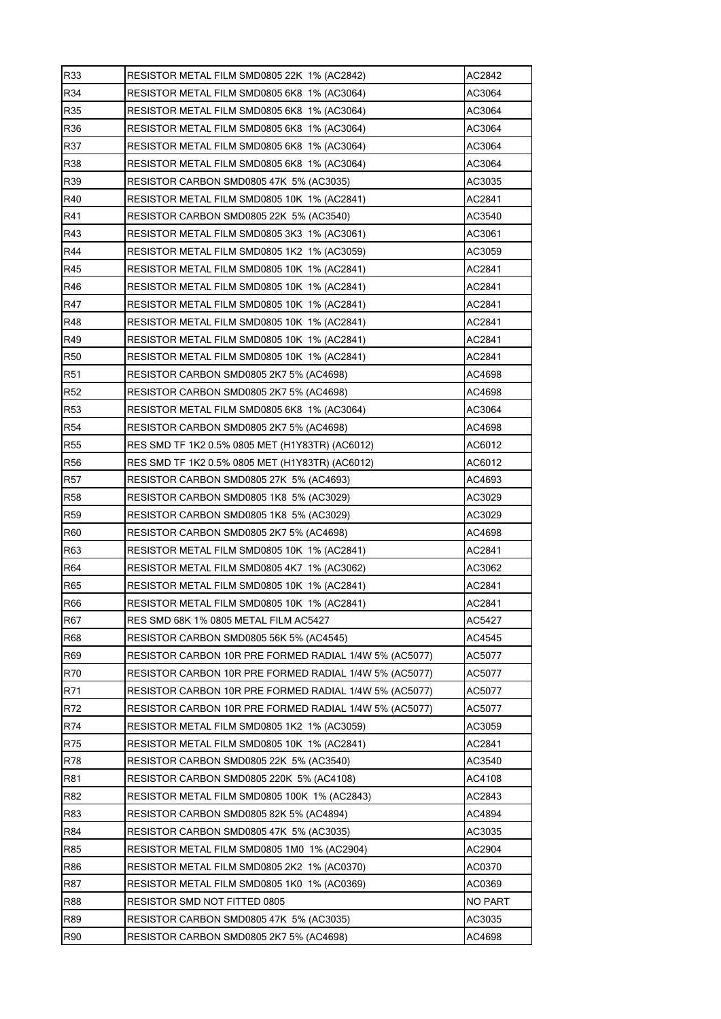| R33             | RESISTOR METAL FILM SMD0805 22K 1% (AC2842)            | AC2842         |
|-----------------|--------------------------------------------------------|----------------|
| R34             | RESISTOR METAL FILM SMD0805 6K8 1% (AC3064)            | AC3064         |
| R35             | RESISTOR METAL FILM SMD0805 6K8 1% (AC3064)            | AC3064         |
| R36             | RESISTOR METAL FILM SMD0805 6K8 1% (AC3064)            | AC3064         |
| R37             | RESISTOR METAL FILM SMD0805 6K8_1% (AC3064)            | AC3064         |
| R38             | RESISTOR METAL FILM SMD0805 6K8_1% (AC3064)            | AC3064         |
| R39             | RESISTOR CARBON SMD0805 47K 5% (AC3035)                | AC3035         |
| R40             | RESISTOR METAL FILM SMD0805 10K 1% (AC2841)            | AC2841         |
| R41             | RESISTOR CARBON SMD0805 22K 5% (AC3540)                | AC3540         |
| R43             | RESISTOR METAL FILM SMD0805 3K3 1% (AC3061)            | AC3061         |
| R44             | RESISTOR METAL FILM SMD0805 1K2_1% (AC3059)            | AC3059         |
| R45             | RESISTOR METAL FILM SMD0805 10K 1% (AC2841)            | AC2841         |
| R46             | RESISTOR METAL FILM SMD0805 10K 1% (AC2841)            | AC2841         |
| R47             | RESISTOR METAL FILM SMD0805 10K 1% (AC2841)            | AC2841         |
| R48             | RESISTOR METAL FILM SMD0805 10K 1% (AC2841)            | AC2841         |
| R49             | RESISTOR METAL FILM SMD0805 10K 1% (AC2841)            | AC2841         |
| <b>R50</b>      | RESISTOR METAL FILM SMD0805 10K 1% (AC2841)            | AC2841         |
| R51             | RESISTOR CARBON SMD0805 2K7 5% (AC4698)                | AC4698         |
| R <sub>52</sub> | RESISTOR CARBON SMD0805 2K7 5% (AC4698)                | AC4698         |
| <b>R53</b>      | RESISTOR METAL FILM SMD0805 6K8 1% (AC3064)            | AC3064         |
| <b>R54</b>      | RESISTOR CARBON SMD0805 2K7 5% (AC4698)                | AC4698         |
| <b>R55</b>      | RES SMD TF 1K2 0.5% 0805 MET (H1Y83TR) (AC6012)        | AC6012         |
| <b>R56</b>      | RES SMD TF 1K2 0.5% 0805 MET (H1Y83TR) (AC6012)        | AC6012         |
| R57             | RESISTOR CARBON SMD0805 27K 5% (AC4693)                | AC4693         |
| <b>R58</b>      | RESISTOR CARBON SMD0805 1K8_5% (AC3029)                | AC3029         |
| <b>R59</b>      | RESISTOR CARBON SMD0805 1K8 5% (AC3029)                | AC3029         |
| R60             | RESISTOR CARBON SMD0805 2K7 5% (AC4698)                | AC4698         |
| R63             | RESISTOR METAL FILM SMD0805 10K 1% (AC2841)            | AC2841         |
| R64             | RESISTOR METAL FILM SMD0805 4K7_1% (AC3062)            | AC3062         |
| R65             | RESISTOR METAL FILM SMD0805 10K 1% (AC2841)            | AC2841         |
| R66             | RESISTOR METAL FILM SMD0805 10K 1% (AC2841)            | AC2841         |
| R67             | RES SMD 68K 1% 0805 METAL FILM AC5427                  | AC5427         |
| R68             | RESISTOR CARBON SMD0805 56K 5% (AC4545)                | AC4545         |
| R69             | RESISTOR CARBON 10R PRE FORMED RADIAL 1/4W 5% (AC5077) | AC5077         |
| R70             | RESISTOR CARBON 10R PRE FORMED RADIAL 1/4W 5% (AC5077) | AC5077         |
| R71             | RESISTOR CARBON 10R PRE FORMED RADIAL 1/4W 5% (AC5077) | AC5077         |
| R72             | RESISTOR CARBON 10R PRE FORMED RADIAL 1/4W 5% (AC5077) | AC5077         |
| R74             | RESISTOR METAL FILM SMD0805 1K2 1% (AC3059)            | AC3059         |
| R75             | RESISTOR METAL FILM SMD0805 10K 1% (AC2841)            | AC2841         |
| R78             | RESISTOR CARBON SMD0805 22K 5% (AC3540)                | AC3540         |
| R81             | RESISTOR CARBON SMD0805 220K 5% (AC4108)               | AC4108         |
| R82             | RESISTOR METAL FILM SMD0805 100K 1% (AC2843)           | AC2843         |
| R83             | <b>RESISTOR CARBON SMD0805 82K 5% (AC4894)</b>         | AC4894         |
| R84             | RESISTOR CARBON SMD0805 47K 5% (AC3035)                | AC3035         |
| R85             | RESISTOR METAL FILM SMD0805 1M0 1% (AC2904)            | AC2904         |
| R86             | RESISTOR METAL FILM SMD0805 2K2 1% (AC0370)            | AC0370         |
| R87             | RESISTOR METAL FILM SMD0805 1K0 1% (AC0369)            | AC0369         |
| <b>R88</b>      | RESISTOR SMD NOT FITTED 0805                           | <b>NO PART</b> |
| R89             | RESISTOR CARBON SMD0805 47K_5% (AC3035)                | AC3035         |
| R90             | RESISTOR CARBON SMD0805 2K7 5% (AC4698)                | AC4698         |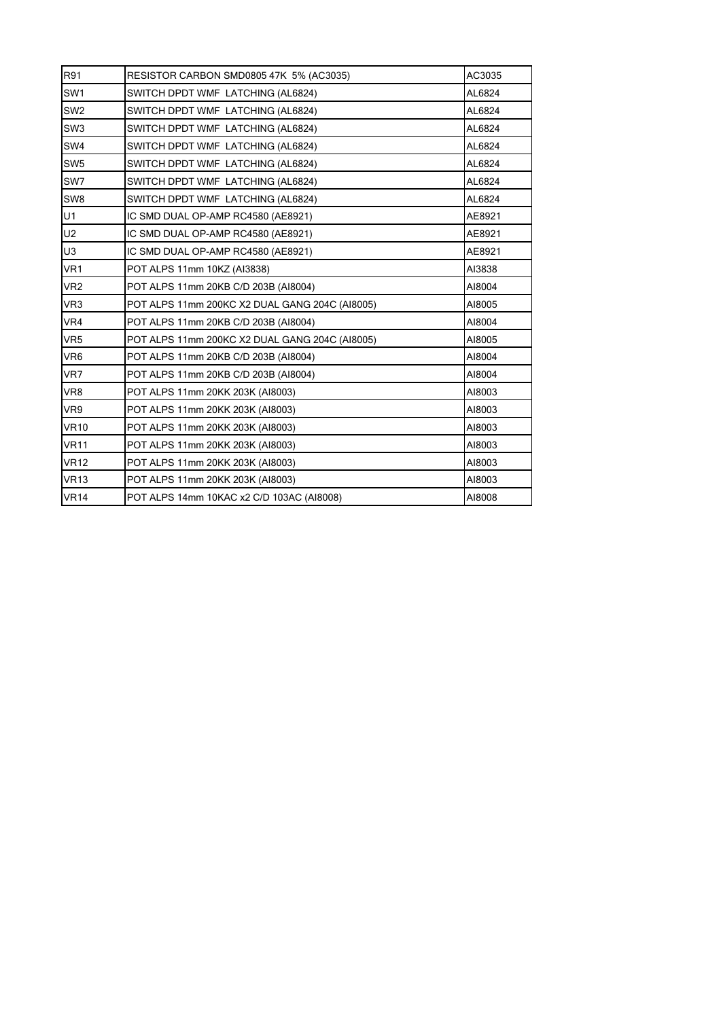| R91             | RESISTOR CARBON SMD0805 47K 5% (AC3035)        | AC3035 |
|-----------------|------------------------------------------------|--------|
| SW <sub>1</sub> | SWITCH DPDT WMF LATCHING (AL6824)              | AL6824 |
| SW <sub>2</sub> | SWITCH DPDT WMF LATCHING (AL6824)              | AL6824 |
| SW <sub>3</sub> | SWITCH DPDT WMF LATCHING (AL6824)              | AL6824 |
| SW4             | SWITCH DPDT WMF LATCHING (AL6824)              | AL6824 |
| SW <sub>5</sub> | SWITCH DPDT WMF LATCHING (AL6824)              | AL6824 |
| SW7             | SWITCH DPDT WMF LATCHING (AL6824)              | AL6824 |
| SW <sub>8</sub> | SWITCH DPDT WMF LATCHING (AL6824)              | AL6824 |
| U1              | IC SMD DUAL OP-AMP RC4580 (AE8921)             | AE8921 |
| U <sub>2</sub>  | IC SMD DUAL OP-AMP RC4580 (AE8921)             | AE8921 |
| U3              | IC SMD DUAL OP-AMP RC4580 (AE8921)             | AE8921 |
| VR <sub>1</sub> | POT ALPS 11mm 10KZ (AI3838)                    | AI3838 |
| VR <sub>2</sub> | POT ALPS 11mm 20KB C/D 203B (AI8004)           | AI8004 |
| VR <sub>3</sub> | POT ALPS 11mm 200KC X2 DUAL GANG 204C (AI8005) | AI8005 |
| VR4             | POT ALPS 11mm 20KB C/D 203B (AI8004)           | AI8004 |
| VR <sub>5</sub> | POT ALPS 11mm 200KC X2 DUAL GANG 204C (AI8005) | AI8005 |
| VR <sub>6</sub> | POT ALPS 11mm 20KB C/D 203B (AI8004)           | AI8004 |
| VR7             | POT ALPS 11mm 20KB C/D 203B (AI8004)           | AI8004 |
| VR8             | POT ALPS 11mm 20KK 203K (AI8003)               | AI8003 |
| VR9             | POT ALPS 11mm 20KK 203K (AI8003)               | AI8003 |
| <b>VR10</b>     | POT ALPS 11mm 20KK 203K (AI8003)               | AI8003 |
| <b>VR11</b>     | POT ALPS 11mm 20KK 203K (AI8003)               | AI8003 |
| <b>VR12</b>     | POT ALPS 11mm 20KK 203K (AI8003)               | AI8003 |
| <b>VR13</b>     | POT ALPS 11mm 20KK 203K (AI8003)               | AI8003 |
| <b>VR14</b>     | POT ALPS 14mm 10KAC x2 C/D 103AC (AI8008)      | AI8008 |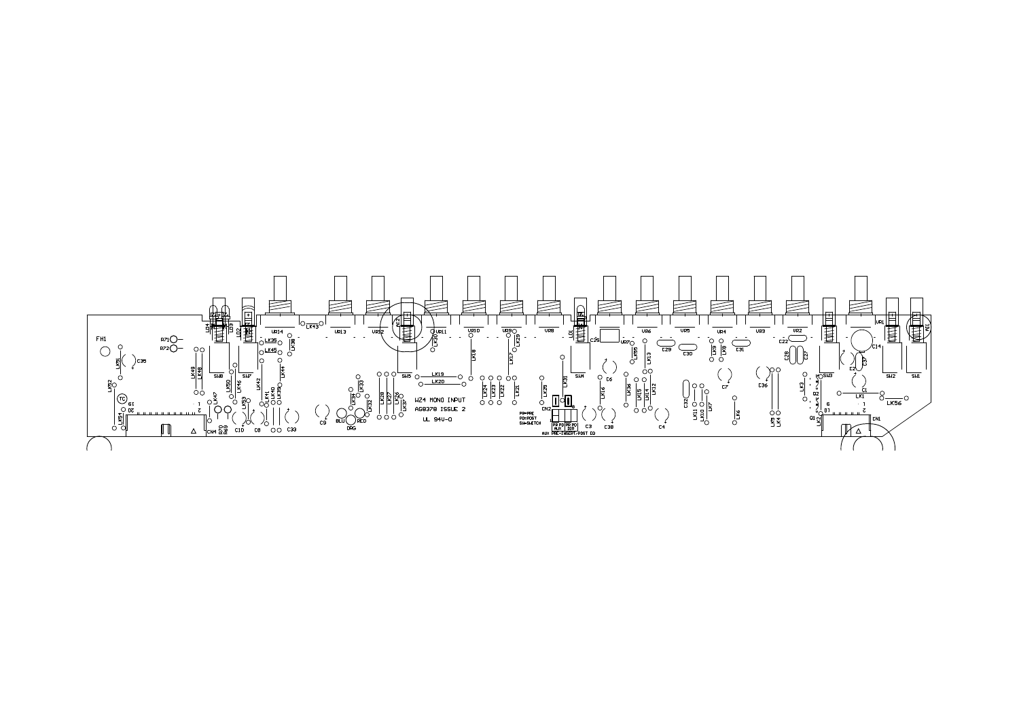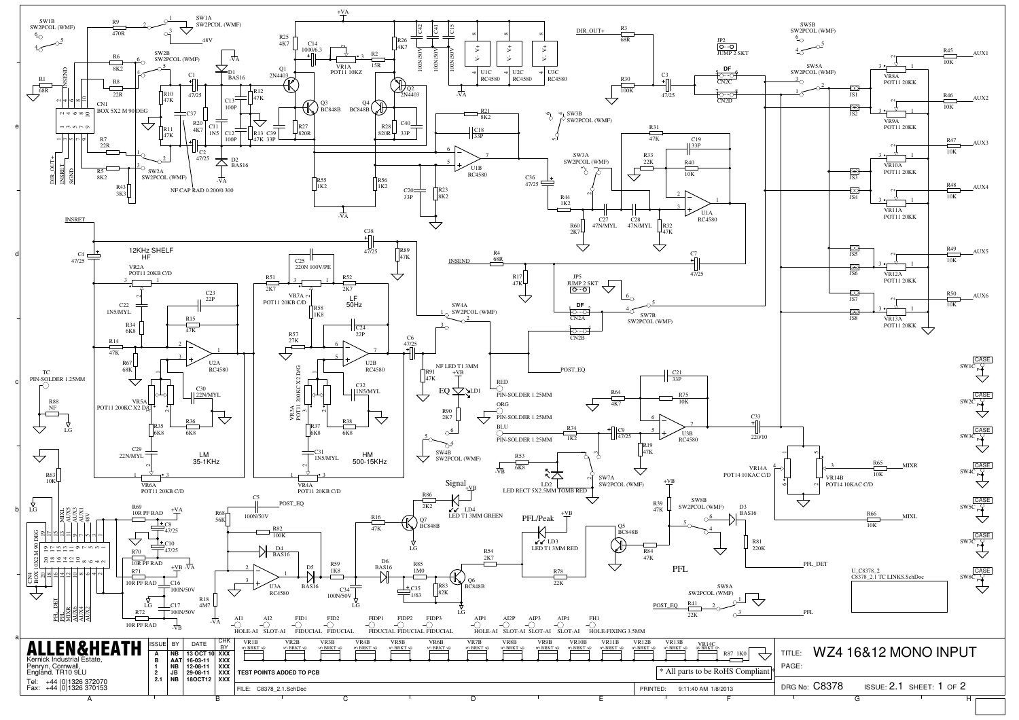